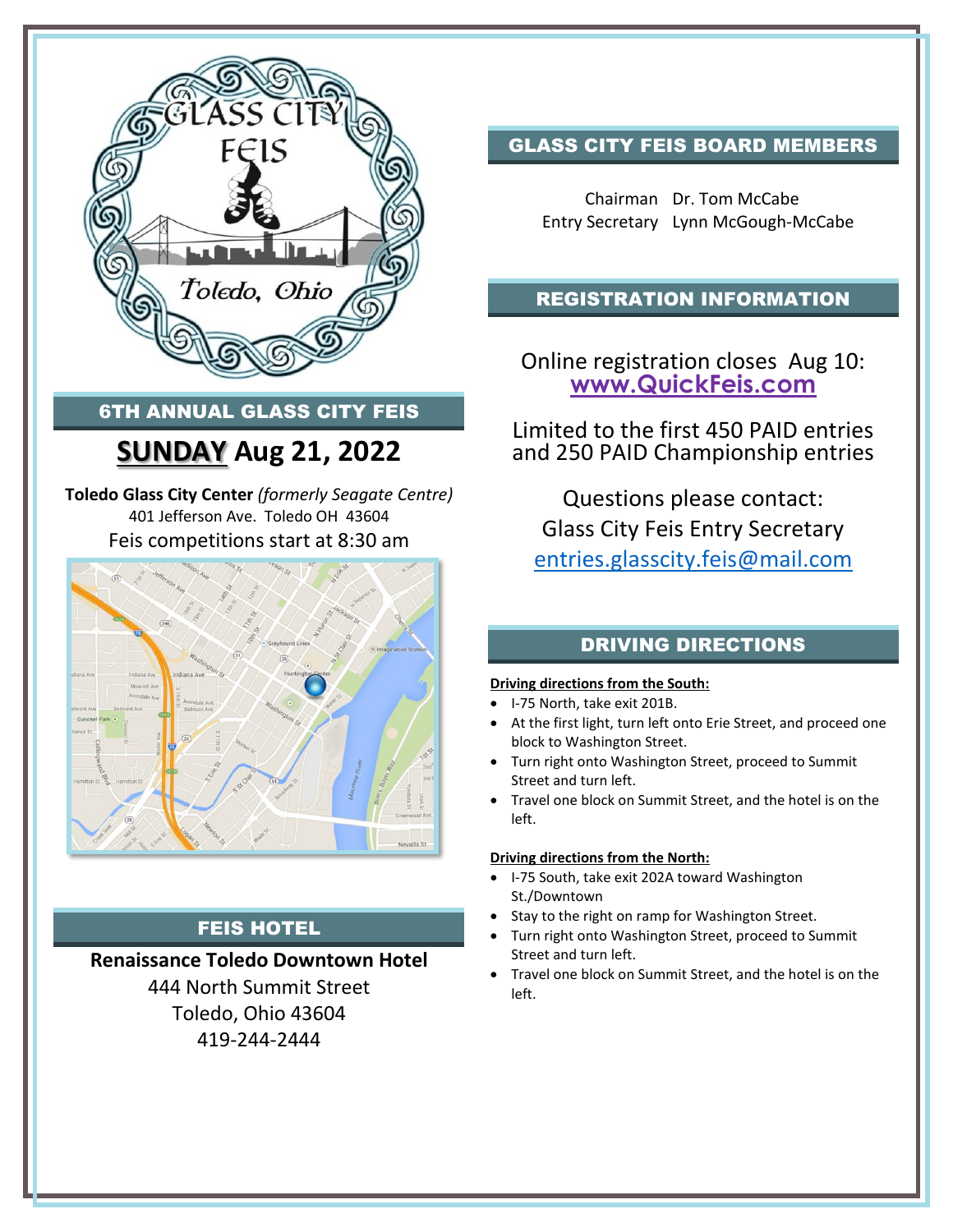

### 6TH ANNUAL GLASS CITY FEIS

### **SUNDAY Aug 21, 2022**

**Toledo Glass City Center** *(formerly Seagate Centre)* 401 Jefferson Ave. Toledo OH 43604 Feis competitions start at 8:30 am



### FEIS HOTEL

### **Renaissance Toledo Downtown Hotel**

444 North Summit Street Toledo, Ohio 43604 419-244-2444

### GLASS CITY FEIS BOARD MEMBERS

Chairman Dr. Tom McCabe Entry Secretary Lynn McGough-McCabe

#### REGISTRATION INFORMATION

Online registration closes Aug 10: **[www.QuickFeis.com](http://www.quickfeis.com/)**

Limited to the first 450 PAID entries and 250 PAID Championship entries

Questions please contact: Glass City Feis Entry Secretary [entries.glasscity.feis@mail.com](mailto:entries.glasscity.feis@mail.com)

### DRIVING DIRECTIONS

#### **Driving directions from the South:**

- I-75 North, take exit 201B.
- At the first light, turn left onto Erie Street, and proceed one block to Washington Street.
- Turn right onto Washington Street, proceed to Summit Street and turn left.
- Travel one block on Summit Street, and the hotel is on the left.

#### **Driving directions from the North:**

- I-75 South, take exit 202A toward Washington St./Downtown
- Stay to the right on ramp for Washington Street.
- Turn right onto Washington Street, proceed to Summit Street and turn left.
- Travel one block on Summit Street, and the hotel is on the left.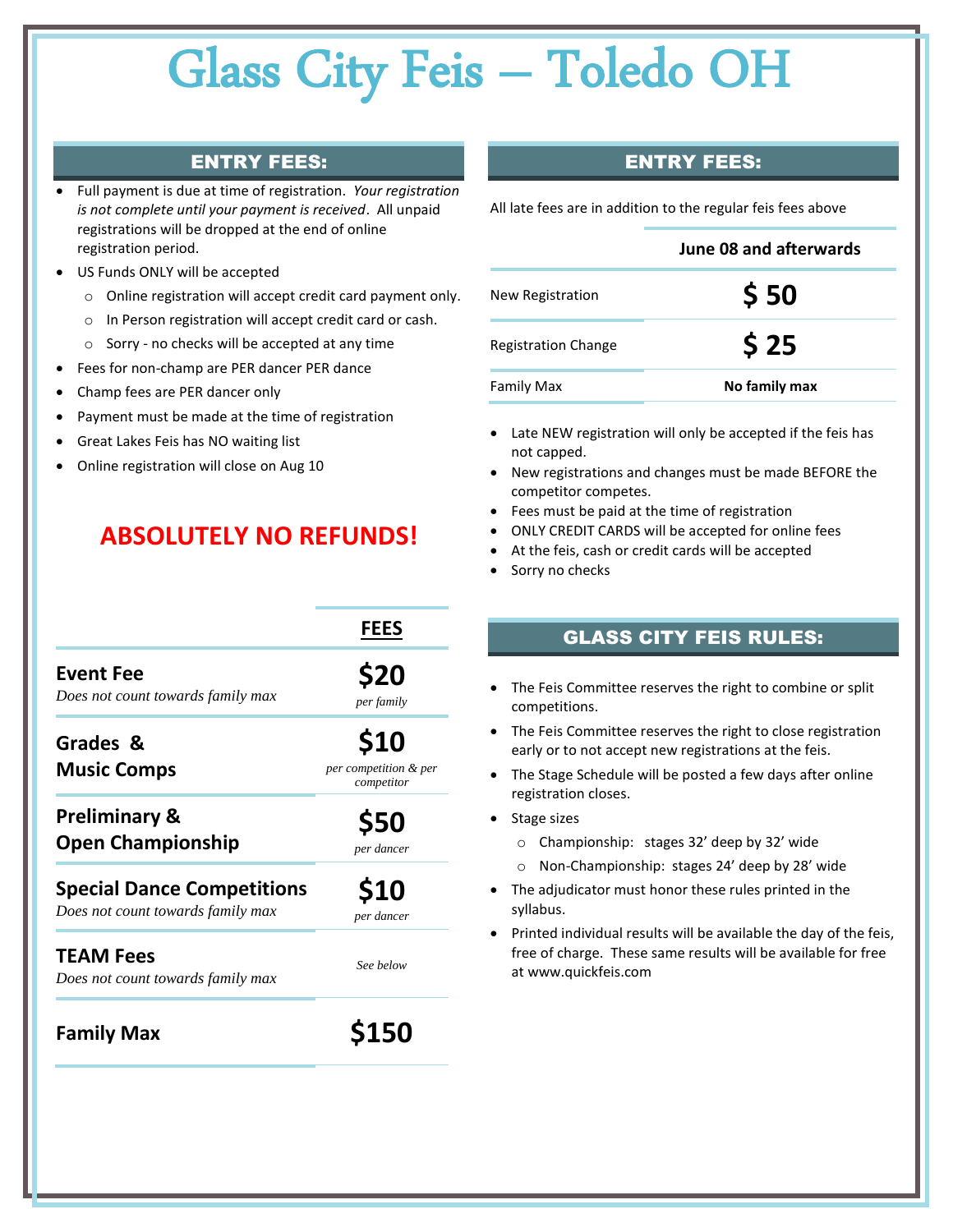#### ENTRY FEES:

- Full payment is due at time of registration. *Your registration is not complete until your payment is received*. All unpaid registrations will be dropped at the end of online registration period.
- US Funds ONLY will be accepted
	- o Online registration will accept credit card payment only.
	- o In Person registration will accept credit card or cash.
	- o Sorry no checks will be accepted at any time
- Fees for non-champ are PER dancer PER dance
- Champ fees are PER dancer only
- Payment must be made at the time of registration
- Great Lakes Feis has NO waiting list
- Online registration will close on Aug 10

### **ABSOLUTELY NO REFUNDS!**

|  | <b>ENTRY FEES:</b> |
|--|--------------------|
|  |                    |

All late fees are in addition to the regular feis fees above 

|                            | June 08 and afterwards |
|----------------------------|------------------------|
| New Registration           | \$50                   |
| <b>Registration Change</b> | \$25                   |
| Family Max                 | No family max          |

- Late NEW registration will only be accepted if the feis has not capped.
- New registrations and changes must be made BEFORE the competitor competes.
- Fees must be paid at the time of registration
- ONLY CREDIT CARDS will be accepted for online fees
- At the feis, cash or credit cards will be accepted
- Sorry no checks

|                                                                        | <b>FEES</b>                                 |
|------------------------------------------------------------------------|---------------------------------------------|
| <b>Event Fee</b><br>Does not count towards family max                  | \$20<br>per family                          |
| Grades &<br><b>Music Comps</b>                                         | \$10<br>per competition & per<br>competitor |
| <b>Preliminary &amp;</b><br><b>Open Championship</b>                   | <b>\$50</b><br>per dancer                   |
| <b>Special Dance Competitions</b><br>Does not count towards family max | <b>S10</b><br>per dancer                    |
| <b>TEAM Fees</b><br>Does not count towards family max                  | See below                                   |
| <b>Family Max</b>                                                      |                                             |

#### GLASS CITY FEIS RULES:

- The Feis Committee reserves the right to combine or split competitions.
- The Feis Committee reserves the right to close registration early or to not accept new registrations at the feis.
- The Stage Schedule will be posted a few days after online registration closes.
- Stage sizes
	- o Championship: stages 32' deep by 32' wide
	- o Non-Championship: stages 24' deep by 28' wide
- The adjudicator must honor these rules printed in the syllabus.
- Printed individual results will be available the day of the feis, free of charge. These same results will be available for free at www.quickfeis.com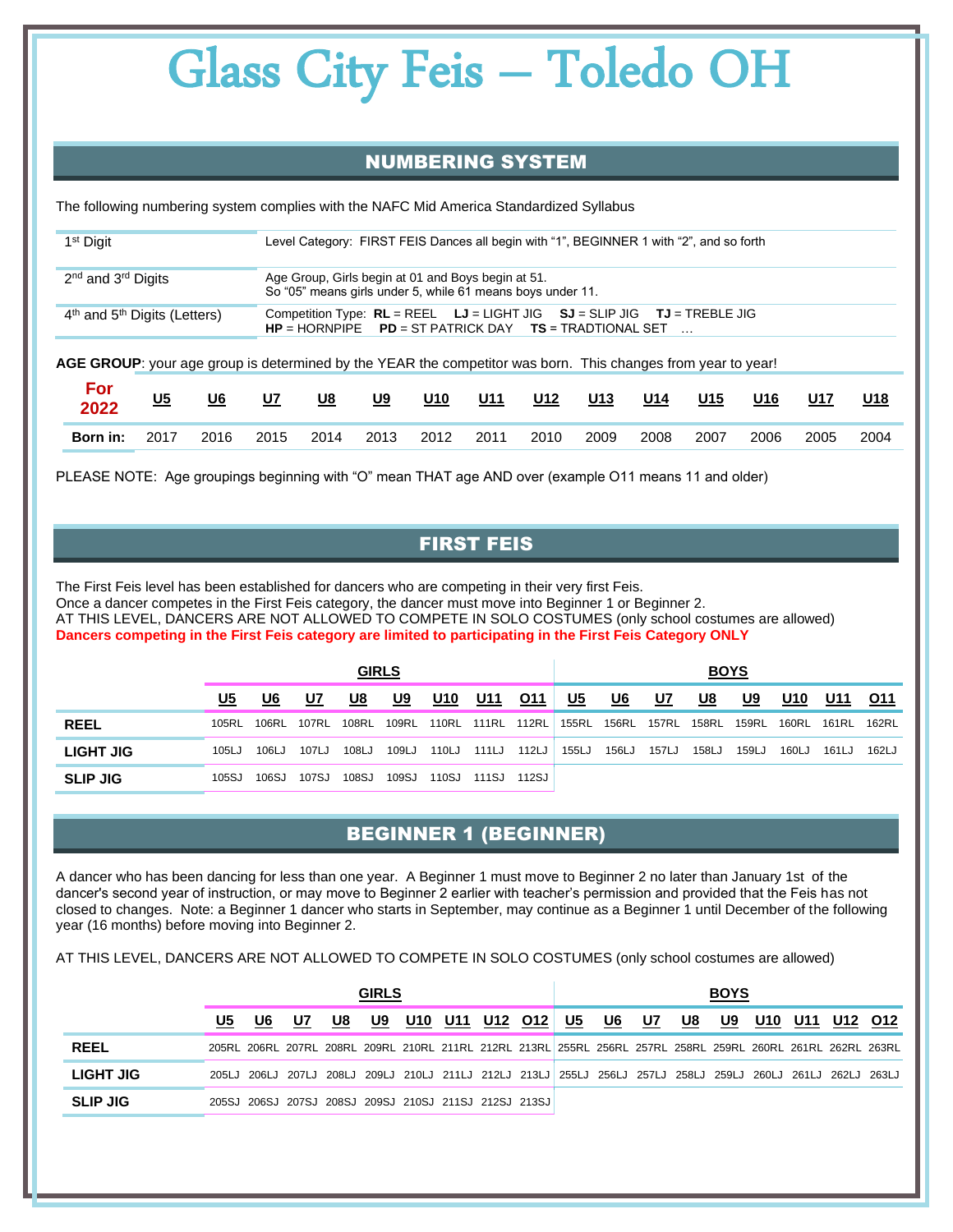#### NUMBERING SYSTEM

The following numbering system complies with the NAFC Mid America Standardized Syllabus

| 1 <sup>st</sup> Digit                                                                                                                                                                 |      |           |                                                                                                                  | Level Category: FIRST FEIS Dances all begin with "1", BEGINNER 1 with "2", and so forth |           |       |            |       |            |     |     |     |     |     |  |
|---------------------------------------------------------------------------------------------------------------------------------------------------------------------------------------|------|-----------|------------------------------------------------------------------------------------------------------------------|-----------------------------------------------------------------------------------------|-----------|-------|------------|-------|------------|-----|-----|-----|-----|-----|--|
| 2 <sup>nd</sup> and 3 <sup>rd</sup> Digits                                                                                                                                            |      |           | Age Group, Girls begin at 01 and Boys begin at 51.<br>So "05" means girls under 5, while 61 means boys under 11. |                                                                                         |           |       |            |       |            |     |     |     |     |     |  |
| $4th$ and $5th$ Digits (Letters)<br>Competition Type: $RL = REEL$ $LJ = LIGHT JIG$ $SJ = SLIP JIG$ $TU = TREELE JIG$<br>$HP = HORNPIPE$ $PD = ST PATHICK$ $DAY$ $TS = TRADTIONAL$ SET |      |           |                                                                                                                  |                                                                                         |           |       |            |       |            |     |     |     |     |     |  |
| <b>AGE GROUP</b> : your age group is determined by the YEAR the competitor was born. This changes from year to year!                                                                  |      |           |                                                                                                                  |                                                                                         |           |       |            |       |            |     |     |     |     |     |  |
| <b>For</b><br>2022                                                                                                                                                                    | $U5$ | <u>U6</u> | <u>U7</u>                                                                                                        | <u>U8</u>                                                                               | <u>U9</u> | $U10$ | <u>U11</u> | $U12$ | <u>U13</u> | U14 | U15 | U16 | U17 | U18 |  |

PLEASE NOTE: Age groupings beginning with "O" mean THAT age AND over (example O11 means 11 and older)

#### FIRST FEIS

**Born in:** 2017 2016 2015 2014 2013 2012 2011 2010 2009 2008 2007 2006 2005 2004

The First Feis level has been established for dancers who are competing in their very first Feis. Once a dancer competes in the First Feis category, the dancer must move into Beginner 1 or Beginner 2. AT THIS LEVEL, DANCERS ARE NOT ALLOWED TO COMPETE IN SOLO COSTUMES (only school costumes are allowed) **Dancers competing in the First Feis category are limited to participating in the First Feis Category ONLY**

|                 |           |       |       | <b>GIRLS</b> |       |       |            |            |           |             |       | <b>BOYS</b> |       |            |       |       |
|-----------------|-----------|-------|-------|--------------|-------|-------|------------|------------|-----------|-------------|-------|-------------|-------|------------|-------|-------|
|                 | <u>U5</u> | U6    | U7    | U8           | U9    | U10   | <u>U11</u> | <u>011</u> | <u>U5</u> | U6          | U7    | U8          | U9    | <u>U10</u> | U11   | O11   |
| <b>REEL</b>     | 105RL     | 106RL | 107RL | 108RL        | 109RL | 110RL | 111RL      | 112RL      |           | 155RL 156RL | 157RL | 158RL       | 159RL | 160RL      | 161RL | 162RL |
| LIGHT JIG       | 105LJ     | 106LJ | 107LJ | 108LJ        | 109LJ | 110LJ | 111LJ      | 112LJ      | 155LJ     | 156LJ       | 157LJ | 158LJ       | 159LJ | 160LJ      | 161LJ | 162LJ |
| <b>SLIP JIG</b> | 105SJ     | 106SJ | 107SJ | 108SJ        | 109SJ | 110SJ | 111SJ      | 112SJ      |           |             |       |             |       |            |       |       |

### BEGINNER 1 (BEGINNER)

A dancer who has been dancing for less than one year. A Beginner 1 must move to Beginner 2 no later than January 1st of the dancer's second year of instruction, or may move to Beginner 2 earlier with teacher's permission and provided that the Feis has not closed to changes. Note: a Beginner 1 dancer who starts in September, may continue as a Beginner 1 until December of the following year (16 months) before moving into Beginner 2.

AT THIS LEVEL, DANCERS ARE NOT ALLOWED TO COMPETE IN SOLO COSTUMES (only school costumes are allowed)

|                  |    |    |                                                       |    | <b>GIRLS</b> |     |             |    |                                                                                                             |    |    | <b>BOYS</b> |     |     |         |  |
|------------------|----|----|-------------------------------------------------------|----|--------------|-----|-------------|----|-------------------------------------------------------------------------------------------------------------|----|----|-------------|-----|-----|---------|--|
|                  | U5 | U6 | U7                                                    | U8 | U9           | U10 | U11 U12 012 | U5 | U6                                                                                                          | U7 | U8 | U9          | U10 | U11 | U12 O12 |  |
| <b>REEL</b>      |    |    |                                                       |    |              |     |             |    | 205RL 206RL 207RL 208RL 209RL 210RL 211RL 212RL 213RL 255RL 256RL 257RL 258RL 259RL 260RL 261RL 262RL 263RL |    |    |             |     |     |         |  |
| <b>LIGHT JIG</b> |    |    |                                                       |    |              |     |             |    | 205LJ 206LJ 207LJ 208LJ 209LJ 210LJ 211LJ 212LJ 213LJ 255LJ 256LJ 257LJ 258LJ 259LJ 260LJ 261LJ 262LJ 263LJ |    |    |             |     |     |         |  |
| <b>SLIP JIG</b>  |    |    | 205SJ 206SJ 207SJ 208SJ 209SJ 210SJ 211SJ 212SJ 213SJ |    |              |     |             |    |                                                                                                             |    |    |             |     |     |         |  |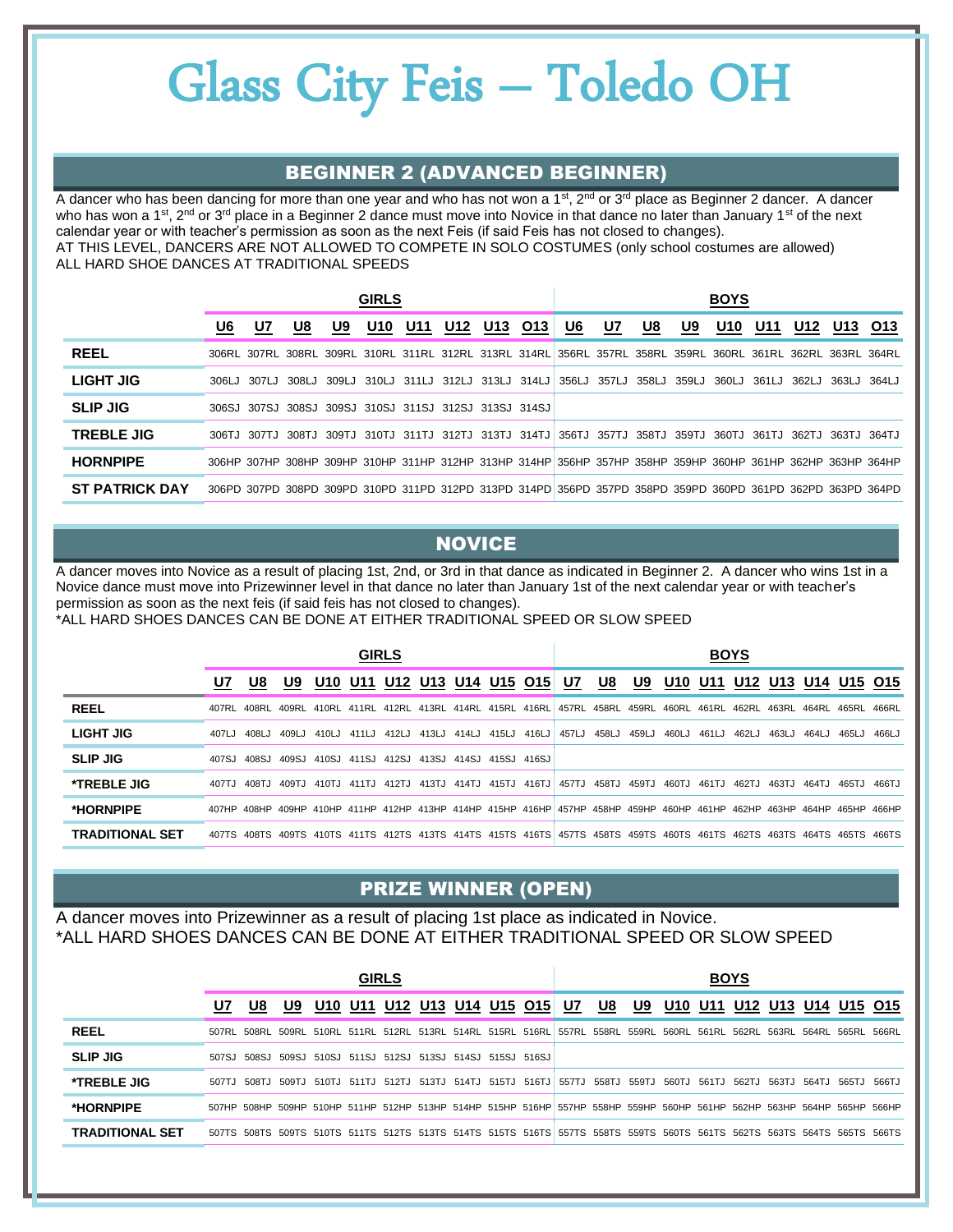#### BEGINNER 2 (ADVANCED BEGINNER)

A dancer who has been dancing for more than one year and who has not won a 1<sup>st</sup>, 2<sup>nd</sup> or 3<sup>rd</sup> place as Beginner 2 dancer. A dancer who has won a 1<sup>st</sup>, 2<sup>nd</sup> or 3<sup>rd</sup> place in a Beginner 2 dance must move into Novice in that dance no later than January 1<sup>st</sup> of the next calendar year or with teacher's permission as soon as the next Feis (if said Feis has not closed to changes). AT THIS LEVEL, DANCERS ARE NOT ALLOWED TO COMPETE IN SOLO COSTUMES (only school costumes are allowed) ALL HARD SHOE DANCES AT TRADITIONAL SPEEDS

|                       |    |    |                                                       |    | <b>GIRLS</b>    |     |     |     |     |                                                                                                             |           |           |    | <b>BOYS</b> |     |     |                   |                                                                                                             |
|-----------------------|----|----|-------------------------------------------------------|----|-----------------|-----|-----|-----|-----|-------------------------------------------------------------------------------------------------------------|-----------|-----------|----|-------------|-----|-----|-------------------|-------------------------------------------------------------------------------------------------------------|
|                       | U6 | U7 | U8                                                    | U9 | U <sub>10</sub> | U11 | U12 | U13 | O13 | U6                                                                                                          | <u>U7</u> | <u>U8</u> | U9 | U10         | U11 | U12 | U13               | O <sub>13</sub>                                                                                             |
| <b>REEL</b>           |    |    |                                                       |    |                 |     |     |     |     | 306RL 307RL 308RL 309RL 310RL 311RL 312RL 313RL 314RL 356RL 357RL 358RL 359RL 360RL 361RL 362RL 363RL 364RL |           |           |    |             |     |     |                   |                                                                                                             |
| LIGHT JIG             |    |    |                                                       |    |                 |     |     |     |     | 306LJ 307LJ 308LJ 309LJ 310LJ 311LJ 312LJ 313LJ 314LJ 356LJ 357LJ 358LJ 359LJ                               |           |           |    | 360LJ 361LJ |     |     | 362LJ 363LJ 364LJ |                                                                                                             |
| <b>SLIP JIG</b>       |    |    | 306SJ 307SJ 308SJ 309SJ 310SJ 311SJ 312SJ 313SJ 314SJ |    |                 |     |     |     |     |                                                                                                             |           |           |    |             |     |     |                   |                                                                                                             |
| <b>TREBLE JIG</b>     |    |    |                                                       |    |                 |     |     |     |     | 306TJ 307TJ 308TJ 309TJ 310TJ 311TJ 312TJ 313TJ 314TJ 356TJ 357TJ 358TJ 359TJ 360TJ 361TJ                   |           |           |    |             |     |     |                   | 362TJ 363TJ 364TJ                                                                                           |
| <b>HORNPIPE</b>       |    |    |                                                       |    |                 |     |     |     |     | 306HP 307HP 308HP 309HP 310HP 311HP 312HP 313HP 314HP 356HP 357HP 358HP 359HP 360HP 361HP 362HP 363HP 364HP |           |           |    |             |     |     |                   |                                                                                                             |
| <b>ST PATRICK DAY</b> |    |    |                                                       |    |                 |     |     |     |     |                                                                                                             |           |           |    |             |     |     |                   | 306PD 307PD 308PD 309PD 310PD 311PD 312PD 313PD 314PD 356PD 357PD 358PD 359PD 360PD 361PD 362PD 363PD 364PD |

#### **NOVICE**

A dancer moves into Novice as a result of placing 1st, 2nd, or 3rd in that dance as indicated in Beginner 2. A dancer who wins 1st in a Novice dance must move into Prizewinner level in that dance no later than January 1st of the next calendar year or with teacher's permission as soon as the next feis (if said feis has not closed to changes).

\*ALL HARD SHOES DANCES CAN BE DONE AT EITHER TRADITIONAL SPEED OR SLOW SPEED

|                        |        |       |       |       |                | <b>GIRLS</b> |                               |                   |       |                                                                                                                         |             |                   |       |         | <b>BOYS</b> |       |                 |        |       |
|------------------------|--------|-------|-------|-------|----------------|--------------|-------------------------------|-------------------|-------|-------------------------------------------------------------------------------------------------------------------------|-------------|-------------------|-------|---------|-------------|-------|-----------------|--------|-------|
|                        | U7     | U8    | U9    |       | <b>U10 U11</b> |              | <u>U12 U13 U14 U15 O15 U7</u> |                   |       |                                                                                                                         | U8          | U9                |       | U10 U11 | U12         |       | U13 U14 U15 O15 |        |       |
| <b>REEL</b>            | 407RL  | 408RL | 409RL |       | 410RL 411RL    |              | 412RL 413RL 414RL 415RL 416RL |                   |       |                                                                                                                         |             | 457RL 458RL 459RL | 460RL | 461RL   | 462RL       | 463RL | 464RL           | 465RL  | 466RL |
| LIGHT JIG              | 407L.I | 408LJ | 409LJ | 410LJ | 411LJ          | 412LJ        | 413LJ                         | 414LJ 415LJ       | 416LJ |                                                                                                                         | 457LJ 458LJ | 459LJ             | 460LJ | 461LJ   | 462LJ       | 463LJ | 464LJ           | 465L.J | 466LJ |
| <b>SLIP JIG</b>        | 407SJ  | 408SJ | 409SJ | 410SJ |                |              | 411SJ 412SJ 413SJ             | 414SJ 415SJ 416SJ |       |                                                                                                                         |             |                   |       |         |             |       |                 |        |       |
| <b>*TREBLE JIG</b>     | 407T.I | 408TJ | 409TJ | 410TJ | 411TJ          | 412TJ        | 413TJ                         | 414TJ 415TJ       | 416TJ | 457TJ                                                                                                                   | 458TJ       | 459TJ             | 460TJ | 461TJ   | 462TJ       | 463TJ | 464TJ           | 465TJ  | 466TJ |
| *HORNPIPE              |        |       |       |       |                |              |                               |                   |       | 407HP 408HP 409HP 410HP 411HP 412HP 413HP 414HP 415HP 416HP 457HP 458HP 459HP 460HP 461HP 462HP 463HP 464HP 465HP 466HP |             |                   |       |         |             |       |                 |        |       |
| <b>TRADITIONAL SET</b> |        |       |       |       |                |              |                               |                   |       | 407TS 408TS 409TS 410TS 411TS 412TS 413TS 414TS 415TS 416TS 457TS 458TS 459TS 460TS 461TS 462TS 463TS 464TS 465TS 466TS |             |                   |       |         |             |       |                 |        |       |

#### PRIZE WINNER (OPEN)

A dancer moves into Prizewinner as a result of placing 1st place as indicated in Novice. \*ALL HARD SHOES DANCES CAN BE DONE AT EITHER TRADITIONAL SPEED OR SLOW SPEED

|                        |    |             |                                                 |     | <b>GIRLS</b>            |  |  |                                                                                                                         |    |    |       | <b>BOYS</b> |                             |       |                   |  |
|------------------------|----|-------------|-------------------------------------------------|-----|-------------------------|--|--|-------------------------------------------------------------------------------------------------------------------------|----|----|-------|-------------|-----------------------------|-------|-------------------|--|
|                        | U7 | U8          | U9                                              | U10 | U11 U12 U13 U14 U15 O15 |  |  | U7                                                                                                                      | U8 | U9 |       |             | U10 U11 U12 U13 U14 U15 O15 |       |                   |  |
| <b>REEL</b>            |    |             |                                                 |     |                         |  |  | 507RL 508RL 509RL 510RL 511RL 512RL 513RL 514RL 515RL 516RL 557RL 558RL 559RL 560RL 561RL                               |    |    |       | 562RL       | 563RL                       | 564RL | 565RL 566RL       |  |
| <b>SLIP JIG</b>        |    | 507SJ 508SJ | 509SJ 510SJ 511SJ 512SJ 513SJ 514SJ 515SJ 516SJ |     |                         |  |  |                                                                                                                         |    |    |       |             |                             |       |                   |  |
| <b>*TREBLE JIG</b>     |    |             |                                                 |     |                         |  |  | 507TJ 508TJ 509TJ 510TJ 511TJ 512TJ 513TJ 514TJ 515TJ 516TJ 557TJ 558TJ 559TJ 560TJ                                     |    |    | 561TJ |             | 562TJ 563TJ                 |       | 564TJ 565TJ 566TJ |  |
| *HORNPIPE              |    |             |                                                 |     |                         |  |  | 507HP 508HP 509HP 510HP 511HP 512HP 513HP 514HP 515HP 516HP 557HP 558HP 559HP 560HP 561HP 562HP 563HP 564HP 565HP 566HP |    |    |       |             |                             |       |                   |  |
| <b>TRADITIONAL SET</b> |    |             |                                                 |     |                         |  |  | 507TS 508TS 509TS 510TS 511TS 512TS 513TS 514TS 515TS 516TS 557TS 558TS 559TS 560TS 561TS 562TS 563TS 564TS 565TS 566TS |    |    |       |             |                             |       |                   |  |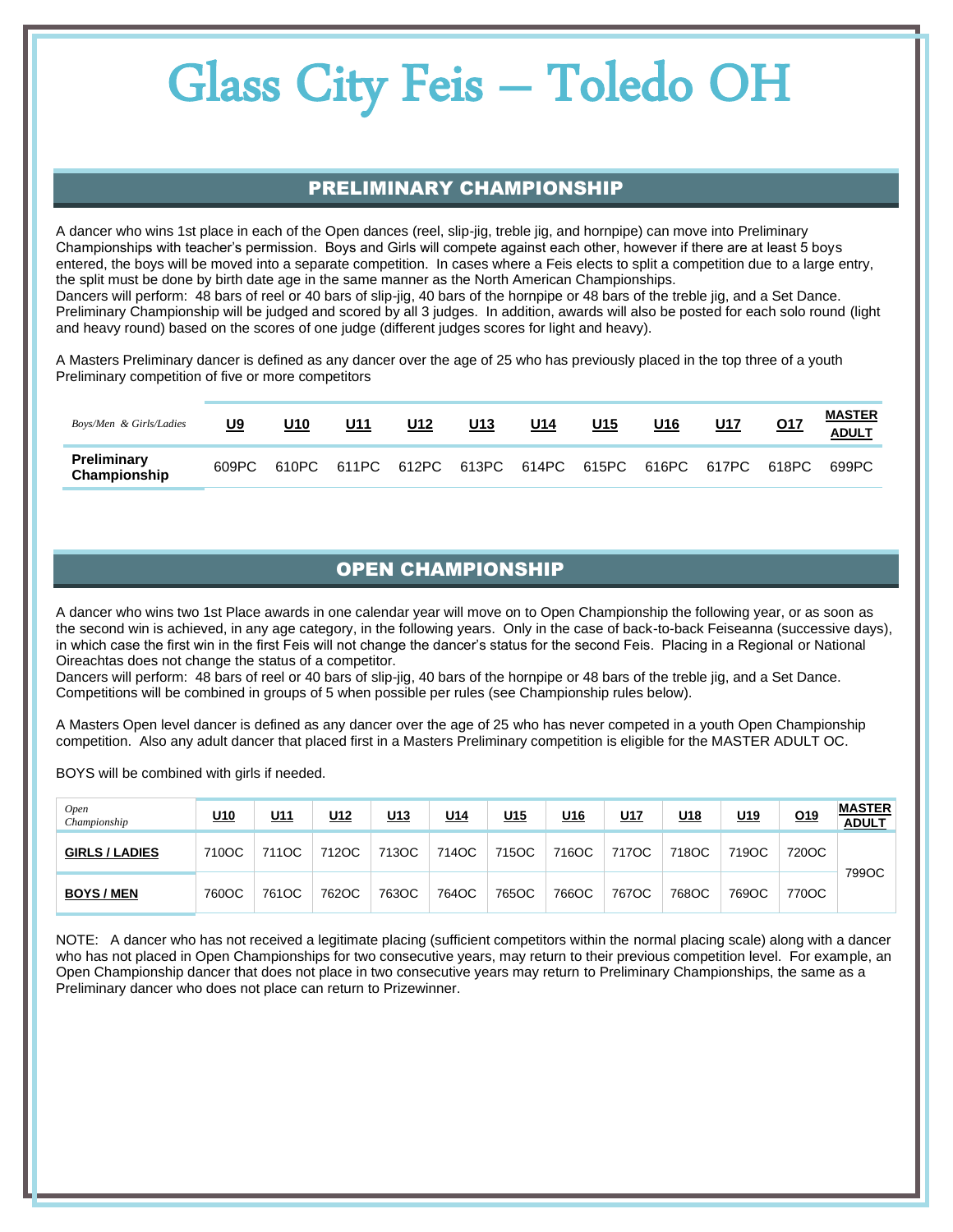#### PRELIMINARY CHAMPIONSHIP

A dancer who wins 1st place in each of the Open dances (reel, slip-jig, treble jig, and hornpipe) can move into Preliminary Championships with teacher's permission. Boys and Girls will compete against each other, however if there are at least 5 boys entered, the boys will be moved into a separate competition. In cases where a Feis elects to split a competition due to a large entry, the split must be done by birth date age in the same manner as the North American Championships. Dancers will perform: 48 bars of reel or 40 bars of slip-jig, 40 bars of the hornpipe or 48 bars of the treble jig, and a Set Dance. Preliminary Championship will be judged and scored by all 3 judges. In addition, awards will also be posted for each solo round (light and heavy round) based on the scores of one judge (different judges scores for light and heavy).

A Masters Preliminary dancer is defined as any dancer over the age of 25 who has previously placed in the top three of a youth Preliminary competition of five or more competitors

| Boys/Men & Girls/Ladies            | U9    | U10 | U11 | U12 | U13 | U14 | U15 | U16                                                   | <u>U17</u> | Q17 | <b>MASTER</b><br><b>ADULT</b> |
|------------------------------------|-------|-----|-----|-----|-----|-----|-----|-------------------------------------------------------|------------|-----|-------------------------------|
| <b>Preliminary</b><br>Championship | 609PC |     |     |     |     |     |     | 610PC 611PC 612PC 613PC 614PC 615PC 616PC 617PC 618PC |            |     | 699PC                         |

#### OPEN CHAMPIONSHIP

A dancer who wins two 1st Place awards in one calendar year will move on to Open Championship the following year, or as soon as the second win is achieved, in any age category, in the following years. Only in the case of back-to-back Feiseanna (successive days), in which case the first win in the first Feis will not change the dancer's status for the second Feis. Placing in a Regional or National Oireachtas does not change the status of a competitor.

Dancers will perform: 48 bars of reel or 40 bars of slip-jig, 40 bars of the hornpipe or 48 bars of the treble jig, and a Set Dance. Competitions will be combined in groups of 5 when possible per rules (see Championship rules below).

A Masters Open level dancer is defined as any dancer over the age of 25 who has never competed in a youth Open Championship competition. Also any adult dancer that placed first in a Masters Preliminary competition is eligible for the MASTER ADULT OC.

BOYS will be combined with girls if needed.

| <b>Open</b><br>Championship | <u>U10</u> | <u>U11</u> | <u>U12</u> | <u>U13</u> | <u>U14</u> | U <sub>15</sub> | <u>U16</u> | <u>U17</u> | <u>U18</u> | <u>U19</u> | <u>019</u> | <b>MASTER</b><br><b>ADULT</b> |
|-----------------------------|------------|------------|------------|------------|------------|-----------------|------------|------------|------------|------------|------------|-------------------------------|
| <b>GIRLS / LADIES</b>       | 710OC      | 711OC      | 712OC      | 713OC      | 714OC      | 715OC           | 716OC      | 717OC      | 718OC      | 719OC      | 720OC      |                               |
| <b>BOYS/MEN</b>             | 760OC      | 761OC      | 762OC      | 763OC      | 764OC      | 765OC           | 766OC      | 767OC      | 768OC      | 769OC      | 770OC      | 799OC                         |

NOTE: A dancer who has not received a legitimate placing (sufficient competitors within the normal placing scale) along with a dancer who has not placed in Open Championships for two consecutive years, may return to their previous competition level. For example, an Open Championship dancer that does not place in two consecutive years may return to Preliminary Championships, the same as a Preliminary dancer who does not place can return to Prizewinner.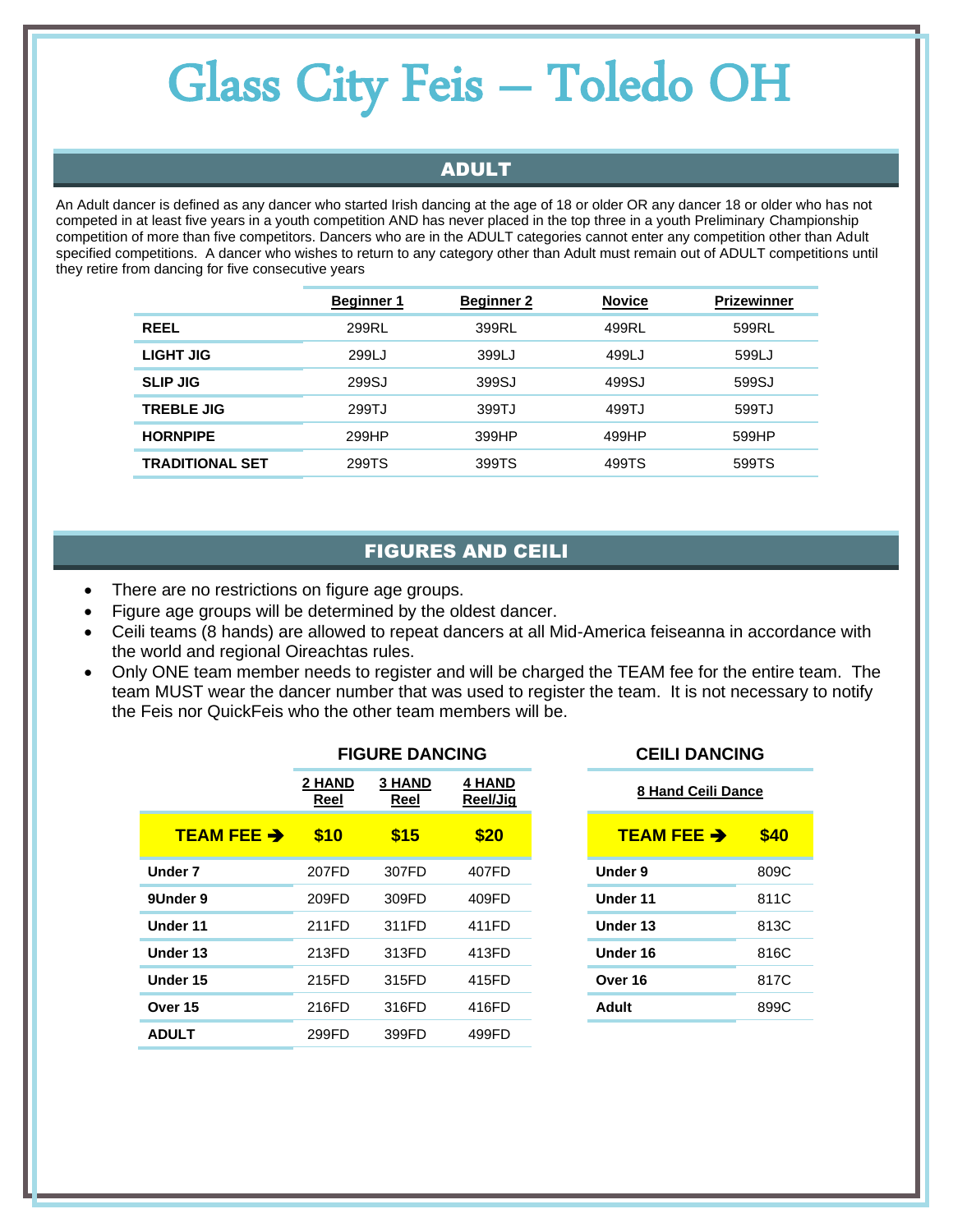#### ADULT

An Adult dancer is defined as any dancer who started Irish dancing at the age of 18 or older OR any dancer 18 or older who has not competed in at least five years in a youth competition AND has never placed in the top three in a youth Preliminary Championship competition of more than five competitors. Dancers who are in the ADULT categories cannot enter any competition other than Adult specified competitions. A dancer who wishes to return to any category other than Adult must remain out of ADULT competitions until they retire from dancing for five consecutive years

|                        | <b>Beginner 1</b> | <b>Beginner 2</b> | <b>Novice</b> | <b>Prizewinner</b> |
|------------------------|-------------------|-------------------|---------------|--------------------|
| <b>REEL</b>            | 299RL             | 399RL             | 499RL         | 599RL              |
| LIGHT JIG              | 299LJ             | 399LJ             | 499LJ         | 599LJ              |
| <b>SLIP JIG</b>        | 299SJ             | 399SJ             | 499SJ         | 599SJ              |
| <b>TREBLE JIG</b>      | 299TJ             | 399TJ             | 499TJ         | 599TJ              |
| <b>HORNPIPE</b>        | 299HP             | 399HP             | 499HP         | 599HP              |
| <b>TRADITIONAL SET</b> | 299TS             | 399TS             | 499TS         | 599TS              |

#### FIGURES AND CEILI

- There are no restrictions on figure age groups.
- Figure age groups will be determined by the oldest dancer.
- Ceili teams (8 hands) are allowed to repeat dancers at all Mid-America feiseanna in accordance with the world and regional Oireachtas rules.
- Only ONE team member needs to register and will be charged the TEAM fee for the entire team. The team MUST wear the dancer number that was used to register the team. It is not necessary to notify the Feis nor QuickFeis who the other team members will be.

|                      | <b>FIGURE DANCING</b> |                       |                           |
|----------------------|-----------------------|-----------------------|---------------------------|
|                      | 2 HAND<br>Reel        | <b>3 HAND</b><br>Reel | <b>4 HAND</b><br>Reel/Jig |
| <b>TEAM FEE &gt;</b> | \$10                  | \$15                  | \$20                      |
| Under 7              | 207FD                 | 307FD                 | 407FD                     |
| 9Under 9             | 209FD                 | 309FD                 | 409FD                     |
| Under 11             | 211FD                 | 311FD                 | 411FD                     |
| Under 13             | 213FD                 | 313FD                 | 413FD                     |
| Under 15             | 215FD                 | 315FD                 | 415FD                     |
| Over 15              | 216FD                 | 316FD                 | 416FD                     |
| <b>ADULT</b>         | 299FD                 | 399FD                 | 499FD                     |

| 4 HAND<br>Reel/Jia | 8 Hand Ceili Dance     |      |
|--------------------|------------------------|------|
| \$20               | TEAM FEE $\rightarrow$ | \$40 |
| 407FD              | Under 9                | 809C |
| 409FD              | Under 11               | 811C |
| 411FD              | Under 13               | 813C |
| 413FD              | Under 16               | 816C |
| 415FD              | Over 16                | 817C |
| 416FD              | <b>Adult</b>           | 899C |
|                    |                        |      |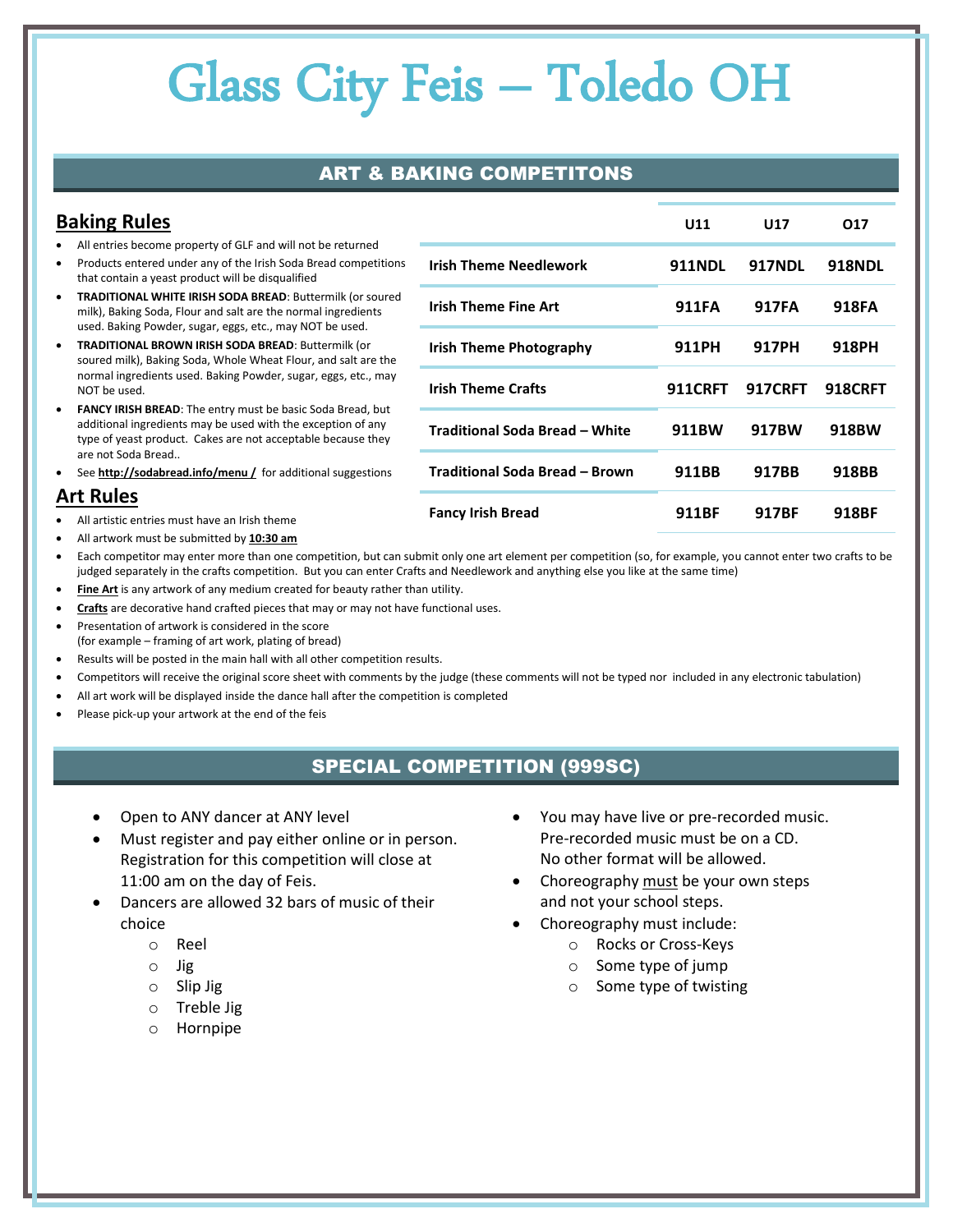### ART & BAKING COMPETITONS

| <b>Baking Rules</b>                                                                                                                                                                                            | U11                            | <b>U17</b>     | 017            |                |
|----------------------------------------------------------------------------------------------------------------------------------------------------------------------------------------------------------------|--------------------------------|----------------|----------------|----------------|
| All entries become property of GLF and will not be returned<br>Products entered under any of the Irish Soda Bread competitions<br>that contain a yeast product will be disqualified                            | <b>Irish Theme Needlework</b>  | <b>911NDL</b>  | <b>917NDL</b>  | <b>918NDL</b>  |
| <b>TRADITIONAL WHITE IRISH SODA BREAD: Buttermilk (or soured)</b><br>٠<br>milk), Baking Soda, Flour and salt are the normal ingredients<br>used. Baking Powder, sugar, eggs, etc., may NOT be used.            | <b>Irish Theme Fine Art</b>    | <b>911FA</b>   | <b>917FA</b>   | 918FA          |
| <b>TRADITIONAL BROWN IRISH SODA BREAD: Buttermilk (or</b><br>$\bullet$<br>soured milk), Baking Soda, Whole Wheat Flour, and salt are the                                                                       | <b>Irish Theme Photography</b> | 911PH          | 917PH          | 918PH          |
| normal ingredients used. Baking Powder, sugar, eggs, etc., may<br>NOT be used.                                                                                                                                 | <b>Irish Theme Crafts</b>      | <b>911CRFT</b> | <b>917CRFT</b> | <b>918CRFT</b> |
| <b>FANCY IRISH BREAD:</b> The entry must be basic Soda Bread, but<br>$\bullet$<br>additional ingredients may be used with the exception of any<br>type of yeast product. Cakes are not acceptable because they | Traditional Soda Bread - White | 911BW          | 917BW          | 918BW          |
| are not Soda Bread<br>See http://sodabread.info/menu / for additional suggestions<br>٠                                                                                                                         | Traditional Soda Bread – Brown | 911BB          | 917BB          | 918BB          |
| <b>Art Rules</b><br>All artistic entries must have an Irish theme                                                                                                                                              | <b>Fancy Irish Bread</b>       | 911BF          | 917BF          | 918BF          |

- All artwork must be submitted by **10:30 am**
- Each competitor may enter more than one competition, but can submit only one art element per competition (so, for example, you cannot enter two crafts to be judged separately in the crafts competition. But you can enter Crafts and Needlework and anything else you like at the same time)
- **Fine Art** is any artwork of any medium created for beauty rather than utility.
- **Crafts** are decorative hand crafted pieces that may or may not have functional uses.
- Presentation of artwork is considered in the score (for example – framing of art work, plating of bread)
- Results will be posted in the main hall with all other competition results.
- Competitors will receive the original score sheet with comments by the judge (these comments will not be typed nor included in any electronic tabulation)
- All art work will be displayed inside the dance hall after the competition is completed
- Please pick-up your artwork at the end of the feis

#### SPECIAL COMPETITION (999SC)

- Open to ANY dancer at ANY level
- Must register and pay either online or in person. Registration for this competition will close at 11:00 am on the day of Feis.
- Dancers are allowed 32 bars of music of their choice
	- o Reel
	- o Jig
	- o Slip Jig
	- o Treble Jig
	- o Hornpipe
- You may have live or pre-recorded music. Pre-recorded music must be on a CD. No other format will be allowed.
- Choreography must be your own steps and not your school steps.
- Choreography must include:
	- o Rocks or Cross-Keys
	- o Some type of jump
	- o Some type of twisting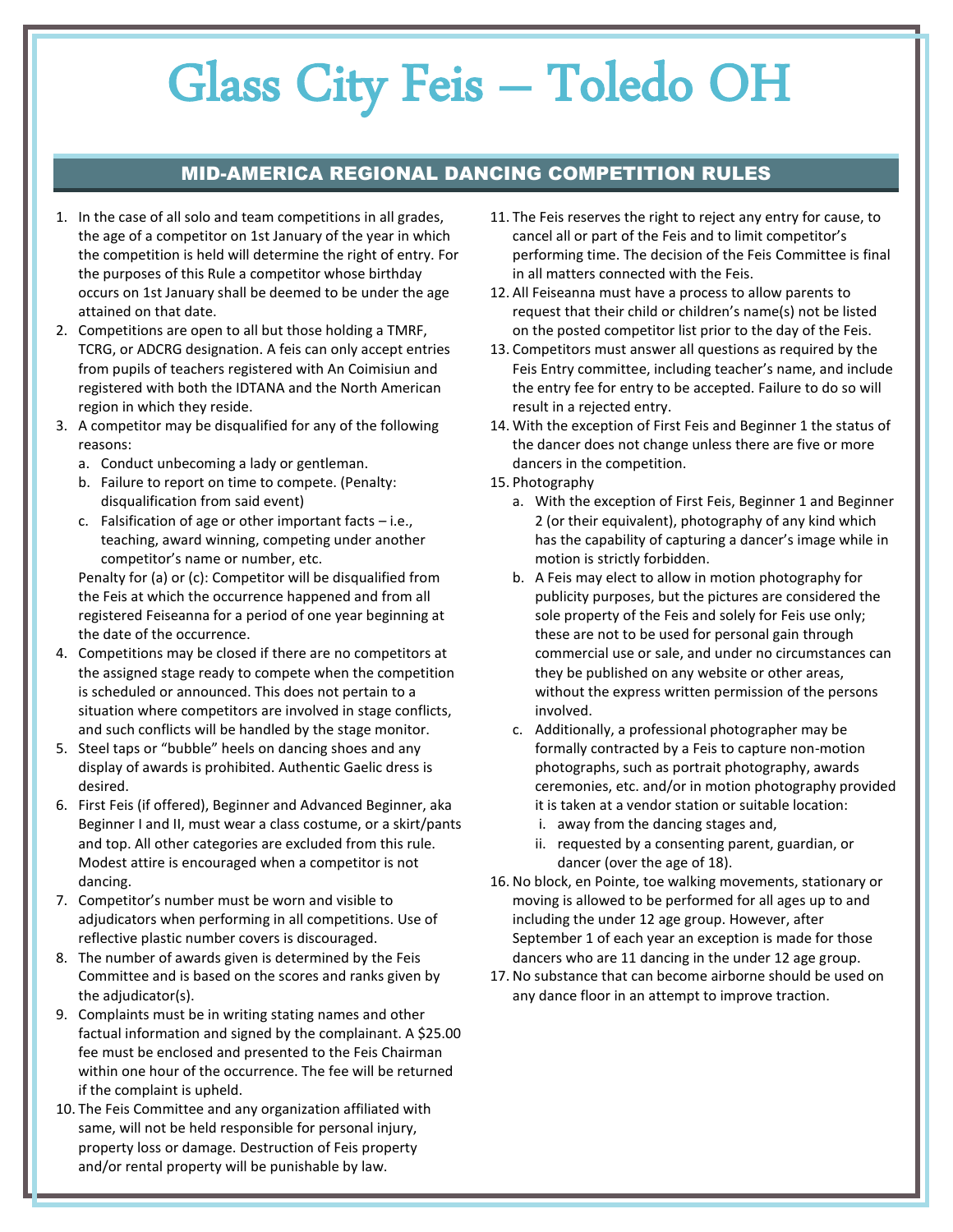#### MID-AMERICA REGIONAL DANCING COMPETITION RULES

- 1. In the case of all solo and team competitions in all grades, the age of a competitor on 1st January of the year in which the competition is held will determine the right of entry. For the purposes of this Rule a competitor whose birthday occurs on 1st January shall be deemed to be under the age attained on that date.
- 2. Competitions are open to all but those holding a TMRF, TCRG, or ADCRG designation. A feis can only accept entries from pupils of teachers registered with An Coimisiun and registered with both the IDTANA and the North American region in which they reside.
- 3. A competitor may be disqualified for any of the following reasons:
	- a. Conduct unbecoming a lady or gentleman.
	- b. Failure to report on time to compete. (Penalty: disqualification from said event)
	- c. Falsification of age or other important facts i.e., teaching, award winning, competing under another competitor's name or number, etc.

Penalty for (a) or (c): Competitor will be disqualified from the Feis at which the occurrence happened and from all registered Feiseanna for a period of one year beginning at the date of the occurrence.

- 4. Competitions may be closed if there are no competitors at the assigned stage ready to compete when the competition is scheduled or announced. This does not pertain to a situation where competitors are involved in stage conflicts, and such conflicts will be handled by the stage monitor.
- 5. Steel taps or "bubble" heels on dancing shoes and any display of awards is prohibited. Authentic Gaelic dress is desired.
- 6. First Feis (if offered), Beginner and Advanced Beginner, aka Beginner I and II, must wear a class costume, or a skirt/pants and top. All other categories are excluded from this rule. Modest attire is encouraged when a competitor is not dancing.
- 7. Competitor's number must be worn and visible to adjudicators when performing in all competitions. Use of reflective plastic number covers is discouraged.
- 8. The number of awards given is determined by the Feis Committee and is based on the scores and ranks given by the adjudicator(s).
- 9. Complaints must be in writing stating names and other factual information and signed by the complainant. A \$25.00 fee must be enclosed and presented to the Feis Chairman within one hour of the occurrence. The fee will be returned if the complaint is upheld.
- 10. The Feis Committee and any organization affiliated with same, will not be held responsible for personal injury, property loss or damage. Destruction of Feis property and/or rental property will be punishable by law.
- 11. The Feis reserves the right to reject any entry for cause, to cancel all or part of the Feis and to limit competitor's performing time. The decision of the Feis Committee is final in all matters connected with the Feis.
- 12. All Feiseanna must have a process to allow parents to request that their child or children's name(s) not be listed on the posted competitor list prior to the day of the Feis.
- 13. Competitors must answer all questions as required by the Feis Entry committee, including teacher's name, and include the entry fee for entry to be accepted. Failure to do so will result in a rejected entry.
- 14. With the exception of First Feis and Beginner 1 the status of the dancer does not change unless there are five or more dancers in the competition.
- 15. Photography
	- a. With the exception of First Feis, Beginner 1 and Beginner 2 (or their equivalent), photography of any kind which has the capability of capturing a dancer's image while in motion is strictly forbidden.
	- b. A Feis may elect to allow in motion photography for publicity purposes, but the pictures are considered the sole property of the Feis and solely for Feis use only; these are not to be used for personal gain through commercial use or sale, and under no circumstances can they be published on any website or other areas, without the express written permission of the persons involved.
	- c. Additionally, a professional photographer may be formally contracted by a Feis to capture non-motion photographs, such as portrait photography, awards ceremonies, etc. and/or in motion photography provided it is taken at a vendor station or suitable location:
		- i. away from the dancing stages and,
		- ii. requested by a consenting parent, guardian, or dancer (over the age of 18).
- 16. No block, en Pointe, toe walking movements, stationary or moving is allowed to be performed for all ages up to and including the under 12 age group. However, after September 1 of each year an exception is made for those dancers who are 11 dancing in the under 12 age group.
- 17. No substance that can become airborne should be used on any dance floor in an attempt to improve traction.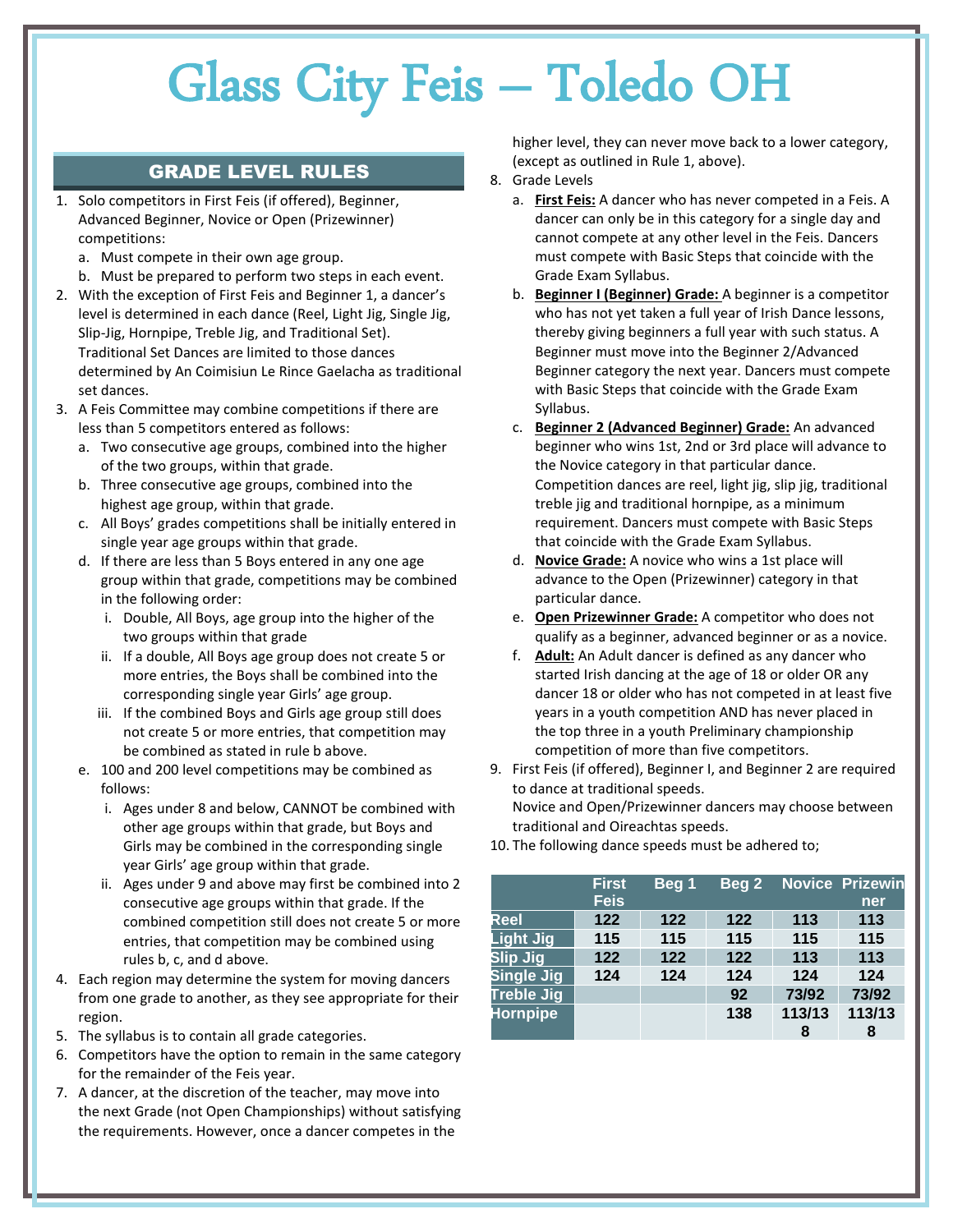#### GRADE LEVEL RULES

- 1. Solo competitors in First Feis (if offered), Beginner, Advanced Beginner, Novice or Open (Prizewinner) competitions:
	- a. Must compete in their own age group.
	- b. Must be prepared to perform two steps in each event.
- 2. With the exception of First Feis and Beginner 1, a dancer's level is determined in each dance (Reel, Light Jig, Single Jig, Slip-Jig, Hornpipe, Treble Jig, and Traditional Set). Traditional Set Dances are limited to those dances determined by An Coimisiun Le Rince Gaelacha as traditional set dances.
- 3. A Feis Committee may combine competitions if there are less than 5 competitors entered as follows:
	- a. Two consecutive age groups, combined into the higher of the two groups, within that grade.
	- b. Three consecutive age groups, combined into the highest age group, within that grade.
	- c. All Boys' grades competitions shall be initially entered in single year age groups within that grade.
	- d. If there are less than 5 Boys entered in any one age group within that grade, competitions may be combined in the following order:
		- i. Double, All Boys, age group into the higher of the two groups within that grade
		- ii. If a double, All Boys age group does not create 5 or more entries, the Boys shall be combined into the corresponding single year Girls' age group.
		- iii. If the combined Boys and Girls age group still does not create 5 or more entries, that competition may be combined as stated in rule b above.
	- e. 100 and 200 level competitions may be combined as follows:
		- i. Ages under 8 and below, CANNOT be combined with other age groups within that grade, but Boys and Girls may be combined in the corresponding single year Girls' age group within that grade.
		- ii. Ages under 9 and above may first be combined into 2 consecutive age groups within that grade. If the combined competition still does not create 5 or more entries, that competition may be combined using rules b, c, and d above.
- 4. Each region may determine the system for moving dancers from one grade to another, as they see appropriate for their region.
- 5. The syllabus is to contain all grade categories.
- 6. Competitors have the option to remain in the same category for the remainder of the Feis year.
- 7. A dancer, at the discretion of the teacher, may move into the next Grade (not Open Championships) without satisfying the requirements. However, once a dancer competes in the

higher level, they can never move back to a lower category, (except as outlined in Rule 1, above).

- 8. Grade Levels
	- a. **First Feis:** A dancer who has never competed in a Feis. A dancer can only be in this category for a single day and cannot compete at any other level in the Feis. Dancers must compete with Basic Steps that coincide with the Grade Exam Syllabus.
	- b. **Beginner I (Beginner) Grade:** A beginner is a competitor who has not yet taken a full year of Irish Dance lessons, thereby giving beginners a full year with such status. A Beginner must move into the Beginner 2/Advanced Beginner category the next year. Dancers must compete with Basic Steps that coincide with the Grade Exam Syllabus.
	- c. **Beginner 2 (Advanced Beginner) Grade:** An advanced beginner who wins 1st, 2nd or 3rd place will advance to the Novice category in that particular dance. Competition dances are reel, light jig, slip jig, traditional treble jig and traditional hornpipe, as a minimum requirement. Dancers must compete with Basic Steps that coincide with the Grade Exam Syllabus.
	- d. **Novice Grade:** A novice who wins a 1st place will advance to the Open (Prizewinner) category in that particular dance.
	- e. **Open Prizewinner Grade:** A competitor who does not qualify as a beginner, advanced beginner or as a novice.
	- f. **Adult:** An Adult dancer is defined as any dancer who started Irish dancing at the age of 18 or older OR any dancer 18 or older who has not competed in at least five years in a youth competition AND has never placed in the top three in a youth Preliminary championship competition of more than five competitors.
- 9. First Feis (if offered), Beginner I, and Beginner 2 are required to dance at traditional speeds. Novice and Open/Prizewinner dancers may choose between traditional and Oireachtas speeds.
- 10. The following dance speeds must be adhered to;

|                   | <b>First</b><br><b>Feis</b> | Beg 1 | Beg <sub>2</sub> |        | <b>Novice Prizewin</b><br>ner |
|-------------------|-----------------------------|-------|------------------|--------|-------------------------------|
| Reel              | 122                         | 122   | 122              | 113    | 113                           |
| <b>Light Jig</b>  | 115                         | 115   | 115              | 115    | 115                           |
| Slip Jig          | 122                         | 122   | 122              | 113    | 113                           |
| <b>Single Jig</b> | 124                         | 124   | 124              | 124    | 124                           |
| <b>Treble Jig</b> |                             |       | 92               | 73/92  | 73/92                         |
| <b>Hornpipe</b>   |                             |       | 138              | 113/13 | 113/13                        |
|                   |                             |       |                  | 8      | 8                             |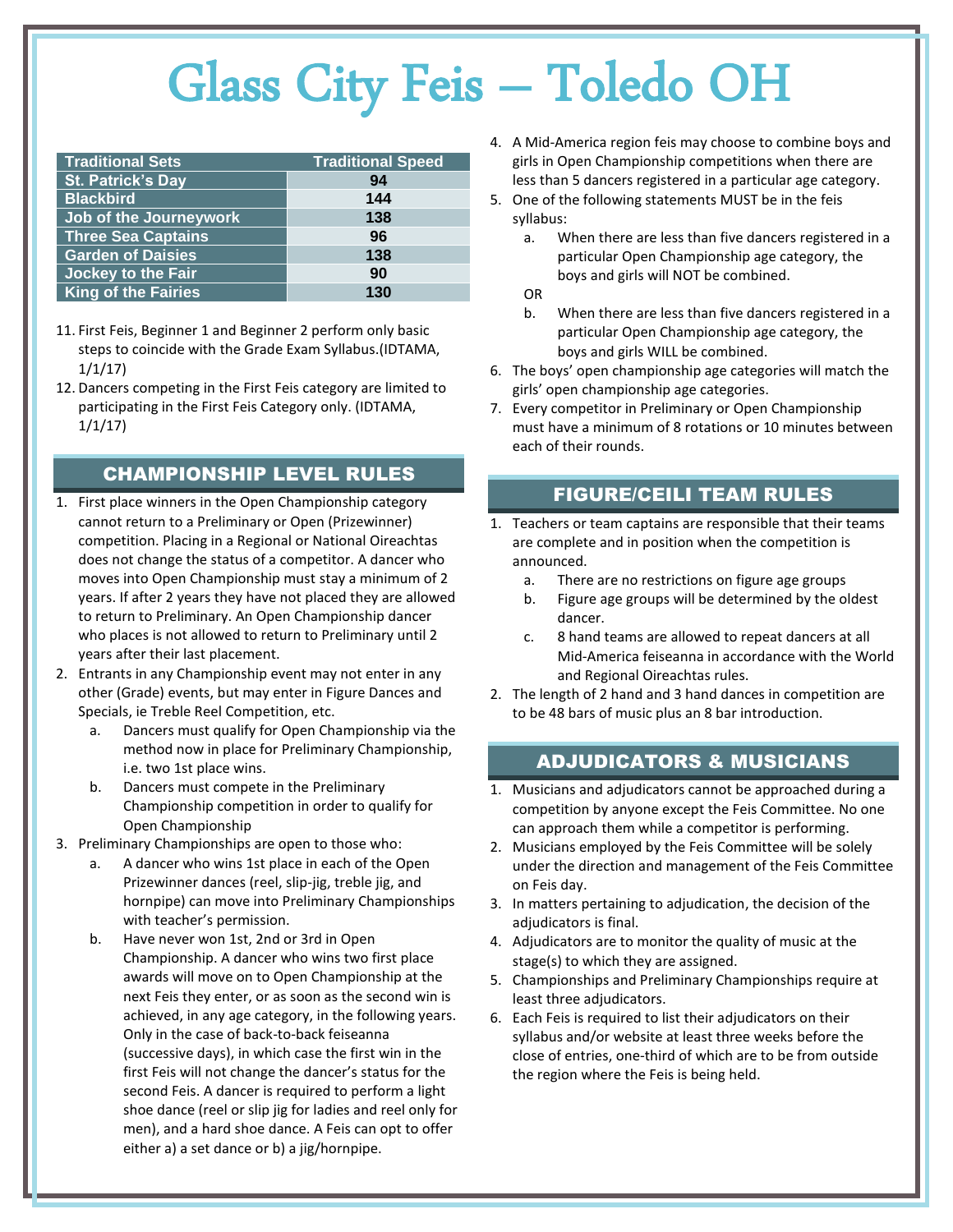| <b>Traditional Sets</b>    | <b>Traditional Speed</b> |
|----------------------------|--------------------------|
| <b>St. Patrick's Day</b>   | 94                       |
| <b>Blackbird</b>           | 144                      |
| Job of the Journeywork     | 138                      |
| <b>Three Sea Captains</b>  | 96                       |
| Garden of Daisies          | 138                      |
| <b>Jockey to the Fair</b>  | 90                       |
| <b>King of the Fairies</b> | 130                      |

- 11. First Feis, Beginner 1 and Beginner 2 perform only basic steps to coincide with the Grade Exam Syllabus.(IDTAMA, 1/1/17)
- 12. Dancers competing in the First Feis category are limited to participating in the First Feis Category only. (IDTAMA, 1/1/17)

#### CHAMPIONSHIP LEVEL RULES

- 1. First place winners in the Open Championship category cannot return to a Preliminary or Open (Prizewinner) competition. Placing in a Regional or National Oireachtas does not change the status of a competitor. A dancer who moves into Open Championship must stay a minimum of 2 years. If after 2 years they have not placed they are allowed to return to Preliminary. An Open Championship dancer who places is not allowed to return to Preliminary until 2 years after their last placement.
- 2. Entrants in any Championship event may not enter in any other (Grade) events, but may enter in Figure Dances and Specials, ie Treble Reel Competition, etc.
	- a. Dancers must qualify for Open Championship via the method now in place for Preliminary Championship, i.e. two 1st place wins.
	- b. Dancers must compete in the Preliminary Championship competition in order to qualify for Open Championship
- 3. Preliminary Championships are open to those who:
	- a. A dancer who wins 1st place in each of the Open Prizewinner dances (reel, slip-jig, treble jig, and hornpipe) can move into Preliminary Championships with teacher's permission.
	- b. Have never won 1st, 2nd or 3rd in Open Championship. A dancer who wins two first place awards will move on to Open Championship at the next Feis they enter, or as soon as the second win is achieved, in any age category, in the following years. Only in the case of back-to-back feiseanna (successive days), in which case the first win in the first Feis will not change the dancer's status for the second Feis. A dancer is required to perform a light shoe dance (reel or slip jig for ladies and reel only for men), and a hard shoe dance. A Feis can opt to offer either a) a set dance or b) a jig/hornpipe.
- 4. A Mid-America region feis may choose to combine boys and girls in Open Championship competitions when there are less than 5 dancers registered in a particular age category.
- 5. One of the following statements MUST be in the feis syllabus:
	- a. When there are less than five dancers registered in a particular Open Championship age category, the boys and girls will NOT be combined.
	- OR
	- b. When there are less than five dancers registered in a particular Open Championship age category, the boys and girls WILL be combined.
- 6. The boys' open championship age categories will match the girls' open championship age categories.
- 7. Every competitor in Preliminary or Open Championship must have a minimum of 8 rotations or 10 minutes between each of their rounds.

#### FIGURE/CEILI TEAM RULES

- 1. Teachers or team captains are responsible that their teams are complete and in position when the competition is announced.
	- a. There are no restrictions on figure age groups
	- b. Figure age groups will be determined by the oldest dancer.
	- c. 8 hand teams are allowed to repeat dancers at all Mid-America feiseanna in accordance with the World and Regional Oireachtas rules.
- 2. The length of 2 hand and 3 hand dances in competition are to be 48 bars of music plus an 8 bar introduction.

#### ADJUDICATORS & MUSICIANS

- 1. Musicians and adjudicators cannot be approached during a competition by anyone except the Feis Committee. No one can approach them while a competitor is performing.
- 2. Musicians employed by the Feis Committee will be solely under the direction and management of the Feis Committee on Feis day.
- 3. In matters pertaining to adjudication, the decision of the adjudicators is final.
- 4. Adjudicators are to monitor the quality of music at the stage(s) to which they are assigned.
- 5. Championships and Preliminary Championships require at least three adjudicators.
- 6. Each Feis is required to list their adjudicators on their syllabus and/or website at least three weeks before the close of entries, one-third of which are to be from outside the region where the Feis is being held.